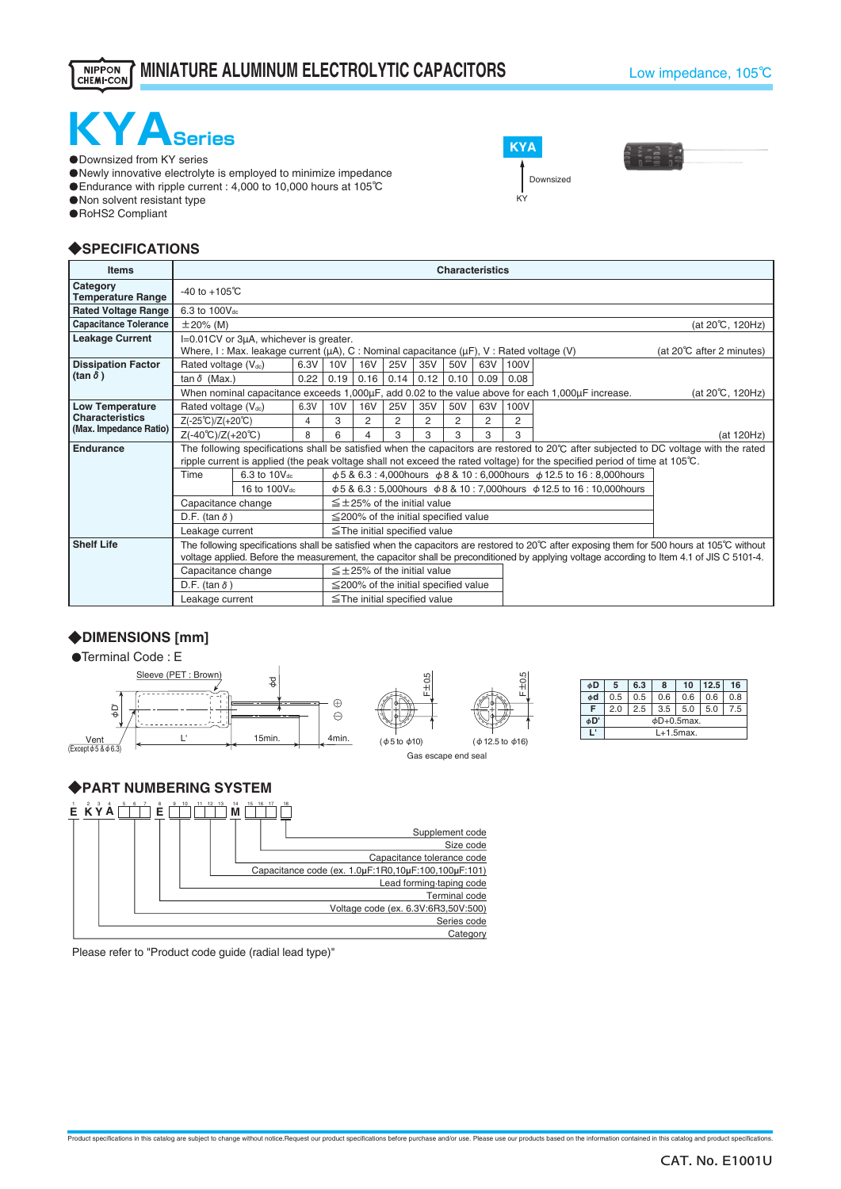

**ODownsized from KY series** 

- **O**Newly innovative electrolyte is employed to minimize impedance
- ・Endurance with ripple current : 4,000 to 10,000 hours at 105℃ ・Non solvent resistant type
- ・RoHS2 Compliant



#### **Items Characteristics Category Temperature Range** | -40 to +105℃ Rated Voltage Range 6.3 to 100Vdc Capacitance Tolerance ± 20% (M) (at 20℃, 120Hz) (at 20℃, 120Hz) (at 20℃, 120Hz) **Leo.01CV** or 3µA, whichever is greater. Where, I : Max. leakage current (µA), C : Nominal capacitance (µF), V : Rated voltage (V) (at 20℃ after 2 minutes) **Dissipation Factor (tan**δ**)** Rated voltage (V<sub>dc</sub>) | 6.3V | 10V | 16V | 25V | 35V | 50V | 63V | 100V  $tan δ$  (Max.) 0.22 0.19 0.16 0.14 0.12 0.10 0.09 0.08 When nominal capacitance exceeds 1,000µF, add 0.02 to the value above for each 1,000µF increase. (at 20℃, 120Hz) **Low Temperature Characteristics (Max. Impedance Ratio)** Rated voltage (Vdc) 6.3V 10V 16V 25V 35V 50V 63V 100V  $Z(-25°C)/Z(+20°C)$  4 3 2 2 2 2 2 2 2  $Z(-40^{\circ}C)/Z(+20^{\circ}C)$  8 6 4 3 3 3 3 3 3 4 3 (at 120Hz) **Endurance** The following specifications shall be satisfied when the capacitors are restored to 20℃ after subjected to DC voltage with the rated ripple current is applied (the peak voltage shall not exceed the rated voltage) for the specified period of time at 105℃. Time  $6.3 \text{ to } 10\sqrt{\frac{36}{10}}$   $6.5 \text{ to } 6.3 : 4,000 \text{ hours } \phi \otimes 8.10 : 6,000 \text{ hours } \phi \otimes 12.5 \text{ to } 16 : 8,000 \text{ hours}$ <br>16 to 100V<sub>dc</sub>  $\phi \otimes 8.6.3 : 5.000 \text{ hours } \phi \otimes 8.10 : 7,000 \text{ hours } \phi \otimes 12.5 \text{ to } 16 : 10.000 \text{ hours}$  $\phi$  5 & 6.3 : 5,000 hours  $\phi$  8 & 10 : 7,000 hours  $\phi$  12.5 to 16 : 10,000 hours Capacitance change  $\vert \leq \pm 25$ % of the initial value D.F. (tan  $\delta$ )  $\leq$  200% of the initial specified value Leakage current  $\vert$  ≤The initial specified value **Shelf Life** The following specifications shall be satisfied when the capacitors are restored to 20℃ after exposing them for 500 hours at 105℃ without voltage applied. Before the measurement, the capacitor shall be preconditioned by applying voltage according to Item 4.1 of JIS C 5101-4. Capacitance change  $\boxed{\leq \pm 25\% \text{ of the initial value}}$ D.F. (tan  $\delta$ )  $\leq$  200% of the initial specified value Leakage current <u>≤The initial specified value</u>

**KYA**

KY

Downsized

### ◆**DIMENSIONS [mm]**



### ◆**PART NUMBERING SYSTEM**



Please refer to "Product code guide (radial lead type)"

**12.5 16 10** 0.6 0.8 0.6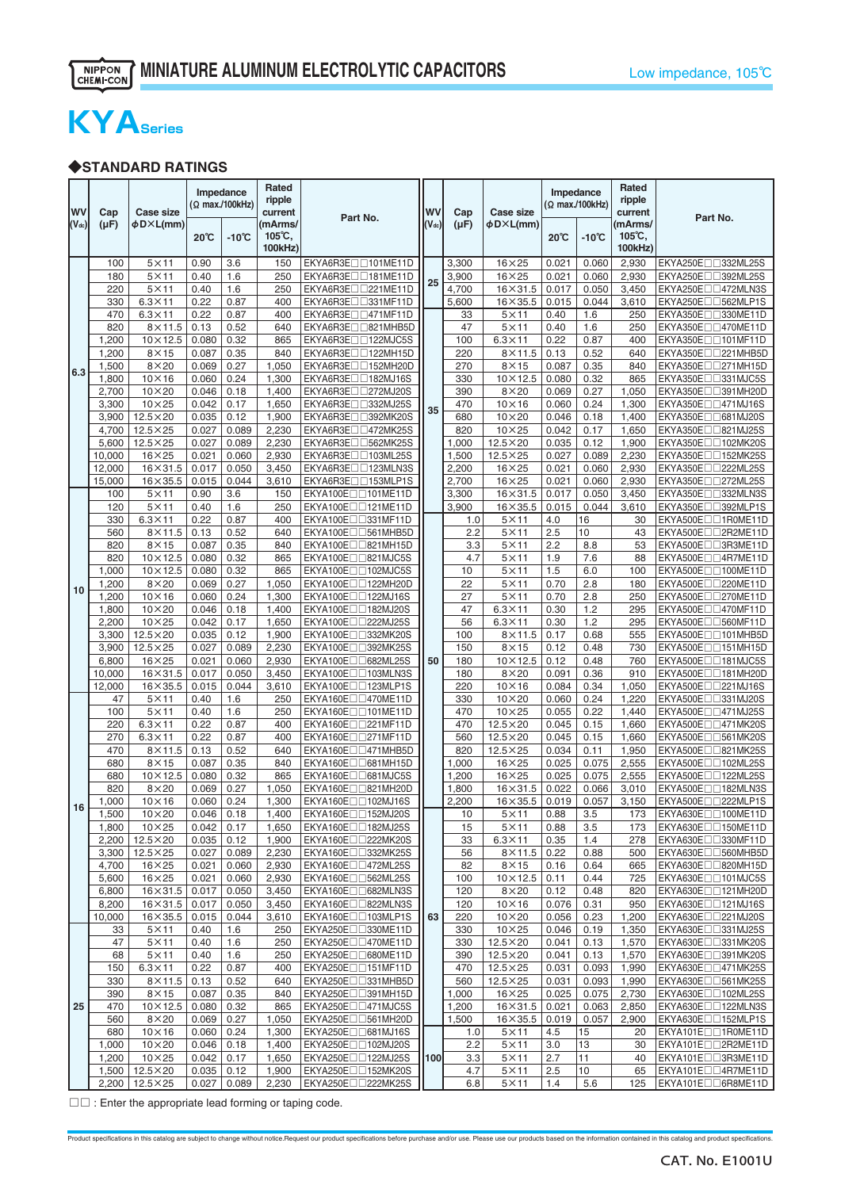# **KYASeries**

#### ◆**STANDARD RATINGS**

| <b>WV</b><br>$(V_{dc})$ | Cap<br>$(\mu F)$ | Case size<br>$\phi$ D $\times$ L(mm) | Impedance<br>(Ω max./100kHz) |                | Rated<br>ripple<br>current   | Part No.                                                          |            | Cap            | Case size                        | Impedance<br>(Ω max./100kHz) |                | Rated<br>ripple<br>current             | Part No.                                                          |
|-------------------------|------------------|--------------------------------------|------------------------------|----------------|------------------------------|-------------------------------------------------------------------|------------|----------------|----------------------------------|------------------------------|----------------|----------------------------------------|-------------------------------------------------------------------|
|                         |                  |                                      | $20^{\circ}$ C               | $-10^{\circ}C$ | (mArms/<br>105°C,<br>100kHz) |                                                                   | $(V_{dc})$ | $(\mu F)$      | φD×L(mm)                         | 20°C                         | $-10^{\circ}C$ | (mArms/<br>$105^{\circ}$ C,<br>100kHz) |                                                                   |
| 6.3                     | 100              | $5 \times 11$                        | 0.90                         | 3.6            | 150                          | EKYA6R3E <sub>U</sub> 101ME11D                                    | 25         | 3,300          | $16\times25$                     | 0.021                        | 0.060          | 2,930                                  | EKYA250E <sub>U332ML25S</sub>                                     |
|                         | 180<br>220       | $5 \times 11$<br>$5\times11$         | 0.40<br>0.40                 | 1.6<br>1.6     | 250<br>250                   | EKYA6R3E <sub>U</sub> 181ME11D<br>EKYA6R3E□□221ME11D              |            | 3,900<br>4,700 | $16\times25$<br>$16\times31.5$   | 0.021<br>0.017               | 0.060<br>0.050 | 2,930<br>3,450                         | EKYA250E <sub>U392ML25S</sub><br>EKYA250E□□472MLN3S               |
|                         | 330              | $6.3 \times 11$                      | 0.22                         | 0.87           | 400                          | EKYA6R3E <sub>1331</sub> MF11D                                    |            | 5,600          | $16\times35.5$                   | 0.015                        | 0.044          | 3,610                                  | EKYA250E□□562MLP1S                                                |
|                         | 470              | $6.3 \times 11$                      | 0.22                         | 0.87           | 400                          | EKYA6R3E <sub>1471</sub> MF11D                                    |            | 33             | $5\times11$                      | 0.40                         | 1.6            | 250                                    | EKYA350E <sub>D</sub> 330ME11D                                    |
|                         | 820              | $8\times11.5$                        | 0.13                         | 0.52           | 640                          | EKYA6R3E <sub>U</sub> B21MHB5D                                    |            | 47             | $5 \times 11$                    | 0.40                         | 1.6            | 250                                    | EKYA350E <sub>U</sub> 470ME11D                                    |
|                         | 1,200            | $10 \times 12.5$                     | 0.080                        | 0.32           | 865                          | EKYA6R3E <sub>U</sub> 122MJC5S                                    |            | 100            | $6.3 \times 11$                  | 0.22                         | 0.87           | 400                                    | EKYA350E <sub>U</sub> 101MF11D                                    |
|                         | 1,200            | $8\times15$                          | 0.087                        | 0.35           | 840                          | EKYA6R3E <sub>1122MH15D</sub>                                     |            | 220            | $8\times11.5$                    | 0.13                         | 0.52           | 640                                    | EKYA350E <sub>1221</sub> MHB5D                                    |
|                         | 1,500<br>1,800   | $8\times20$<br>$10\times16$          | 0.069<br>0.060               | 0.27<br>0.24   | 1,050<br>1,300               | EKYA6R3E <sub>1152MH20D</sub><br>EKYA6R3E <sub>1182MJ16S</sub>    |            | 270<br>330     | $8\times15$<br>$10\times12.5$    | 0.087<br>0.080               | 0.35<br>0.32   | 840<br>865                             | EKYA350E <sub>1271</sub> MH15D<br>EKYA350E <sub>II</sub> 331MJC5S |
|                         | 2,700            | $10\times 20$                        | 0.046                        | 0.18           | 1,400                        | EKYA6R3E <sub>D</sub> 272MJ20S                                    | 35         | 390            | $8\times20$                      | 0.069                        | 0.27           | 1,050                                  | EKYA350End391MH20D                                                |
|                         | 3,300            | $10\times25$                         | 0.042                        | 0.17           | 1,650                        | EKYA6R3E <sub>D</sub> 332MJ25S                                    |            | 470            | $10\times16$                     | 0.060                        | 0.24           | 1,300                                  | EKYA350E <sub>U</sub> 471MJ16S                                    |
|                         | 3,900            | $12.5\times20$                       | 0.035                        | 0.12           | 1,900                        | EKYA6R3E <sub>1392MK20S</sub>                                     |            | 680            | $10\times20$                     | 0.046                        | 0.18           | 1,400                                  | EKYA350E <sub>00</sub> 681MJ20S                                   |
|                         | 4,700            | $12.5\times25$                       | 0.027                        | 0.089          | 2,230                        | EKYA6R3E <sub>1472</sub> MK25S                                    |            | 820            | $10\times25$                     | 0.042                        | 0.17           | 1,650                                  | EKYA350E <sub>1321</sub> MJ25S                                    |
|                         | 5,600            | $12.5\times25$                       | 0.027                        | 0.089          | 2,230                        | EKYA6R3E <sub>1362</sub> MK25S                                    |            | 1,000          | $12.5\times20$                   | 0.035                        | 0.12           | 1,900                                  | EKYA350E□□102MK20S                                                |
|                         | 10,000           | $16\times25$                         | 0.021                        | 0.060          | 2,930                        | EKYA6R3EII103ML25S                                                |            | 1,500          | $12.5\times25$                   | 0.027                        | 0.089          | 2,230                                  | EKYA350E□□152MK25S                                                |
|                         | 12,000<br>15,000 | $16 \times 31.5$<br>$16\times35.5$   | 0.017<br>0.015               | 0.050<br>0.044 | 3,450<br>3,610               | EKYA6R3E <sub>U</sub> 123MLN3S<br>EKYA6R3E□□153MLP1S              |            | 2,200<br>2,700 | $16\times25$<br>$16\times25$     | 0.021<br>0.021               | 0.060<br>0.060 | 2,930<br>2,930                         | EKYA350E <sub>U</sub> 222ML25S<br>EKYA350E <sub>1272</sub> ML25S  |
|                         | 100              | $5\times11$                          | 0.90                         | 3.6            | 150                          | EKYA100E <sub>1101</sub> ME11D                                    |            | 3,300          | $16\times31.5$                   | 0.017                        | 0.050          | 3,450                                  | EKYA350E <sub>D</sub> _332MLN3S                                   |
|                         | 120              | $5\times11$                          | 0.40                         | 1.6            | 250                          | EKYA100E <sub>1121</sub> ME11D                                    |            | 3,900          | $16\times35.5$                   | 0.015                        | 0.044          | 3,610                                  | EKYA350E <sub>1392</sub> MLP1S                                    |
|                         | 330              | $6.3 \times 11$                      | 0.22                         | 0.87           | 400                          | EKYA100E <sub>U331MF11D</sub>                                     |            | 1.0            | $5 \times 11$                    | 4.0                          | 16             | 30                                     | EKYA500E <sub>U</sub> 1R0ME11D                                    |
|                         | 560              | $8\times11.5$                        | 0.13                         | 0.52           | 640                          | EKYA100E <sub>D</sub> 561MHB5D                                    |            | 2.2            | $5 \times 11$                    | 2.5                          | 10             | 43                                     | EKYA500E <sub>II</sub> 2R2ME11D                                   |
|                         | 820              | $8\times15$                          | 0.087                        | 0.35           | 840                          | EKYA100E <sub>1321</sub> MH15D                                    |            | 3.3            | $5\times11$                      | 2.2                          | 8.8            | 53                                     | EKYA500E <sub>II</sub> 3R3ME11D                                   |
|                         | 820<br>1,000     | $10\times12.5$<br>$10\times12.5$     | 0.080<br>0.080               | 0.32<br>0.32   | 865<br>865                   | EKYA100E <sub>1</sub> 821MJC5S<br>EKYA100E <sub>1102MJC5S</sub>   |            | 4.7<br>10      | $5\times11$<br>$5\times11$       | 1.9<br>1.5                   | 7.6<br>6.0     | 88<br>100                              | EKYA500E <sub>III</sub> 4R7ME11D<br>EKYA500E <sub>1100ME11D</sub> |
|                         | 1,200            | $8\times20$                          | 0.069                        | 0.27           | 1,050                        | EKYA100E <sub>U</sub> 122MH20D                                    | 50<br>63   | 22             | $5 \times 11$                    | 0.70                         | 2.8            | 180                                    | EKYA500E <sub>U220ME11D</sub>                                     |
| 10                      | 1,200            | $10\times16$                         | 0.060                        | 0.24           | 1,300                        | EKYA100E <sub>U</sub> 122MJ16S                                    |            | 27             | $5 \times 11$                    | 0.70                         | 2.8            | 250                                    | EKYA500E <sub>U270ME11D</sub>                                     |
|                         | 1,800            | $10\times20$                         | 0.046                        | 0.18           | 1,400                        | EKYA100E <sub>III</sub> 182MJ20S                                  |            | 47             | $6.3 \times 11$                  | 0.30                         | 1.2            | 295                                    | EKYA500E <sub>D</sub> _470MF11D                                   |
|                         | 2,200            | $10\times25$                         | 0.042                        | 0.17           | 1,650                        | EKYA100E <sub>1222MJ25S</sub>                                     |            | 56             | $6.3 \times 11$                  | 0.30                         | 1.2            | 295                                    | EKYA500E <sub>DD</sub> 560MF11D                                   |
|                         | 3,300            | $12.5\times20$                       | 0.035                        | 0.12           | 1,900                        | EKYA100E <sub>II</sub> 332MK20S                                   |            | 100            | $8\times11.5$                    | 0.17                         | 0.68           | 555                                    | EKYA500E <sub>III</sub> 101MHB5D                                  |
|                         | 3,900            | $12.5\times25$                       | 0.027                        | 0.089          | 2,230                        | EKYA100E <sub>U</sub> 392MK25S                                    |            | 150            | $8\times15$                      | 0.12                         | 0.48           | 730                                    | EKYA500E <sub>U151</sub> MH15D                                    |
|                         | 6,800<br>10,000  | $16\times25$<br>$16 \times 31.5$     | 0.021<br>0.017               | 0.060<br>0.050 | 2,930<br>3,450               | EKYA100E <sub>U</sub> 682ML25S<br>EKYA100E <sub>1103</sub> MLN3S  |            | 180<br>180     | $10\times12.5$<br>$8\times20$    | 0.12<br>0.091                | 0.48<br>0.36   | 760<br>910                             | EKYA500E <sub>U181</sub> MJC5S<br>EKYA500E <sub>1181</sub> MH20D  |
|                         | 12,000           | $16\times35.5$                       | 0.015                        | 0.044          | 3,610                        | EKYA100E <sub>1123</sub> MLP1S                                    |            | 220            | $10\times16$                     | 0.084                        | 0.34           | 1,050                                  | EKYA500E <sub>1221</sub> MJ16S                                    |
|                         | 47               | $5\times11$                          | 0.40                         | 1.6            | 250                          | EKYA160E <sub>11470</sub> ME11D                                   |            | 330            | $10\times20$                     | 0.060                        | 0.24           | 1,220                                  | EKYA500E <sub>1331MJ20S</sub>                                     |
|                         | 100              | $5 \times 11$                        | 0.40                         | 1.6            | 250                          | EKYA160E <sub>U</sub> 101ME11D                                    |            | 470            | $10\times25$                     | 0.055                        | 0.22           | 1,440                                  | EKYA500E $\square$ $\square$ 471MJ25S                             |
|                         | 220              | $6.3 \times 11$                      | 0.22                         | 0.87           | 400                          | EKYA160E <sub>U221</sub> MF11D                                    |            | 470            | $12.5\times20$                   | 0.045                        | 0.15           | 1,660                                  | EKYA500E <sub>U</sub> 471MK20S                                    |
|                         | 270<br>470       | $6.3 \times 11$<br>$8\times11.5$     | 0.22<br>0.13                 | 0.87<br>0.52   | 400<br>640                   | EKYA160E <sub>[1271</sub> MF11D]                                  |            | 560<br>820     | $12.5\times20$<br>$12.5\times25$ | 0.045<br>0.034               | 0.15<br>0.11   | 1,660<br>1,950                         | EKYA500E□□561MK20S                                                |
|                         | 680              | $8\times15$                          | 0.087                        | 0.35           | 840                          | EKYA160E <sub>U</sub> 171MHB5D<br>EKYA160E <sub>00</sub> 681MH15D |            | 1,000          | $16\times25$                     | 0.025                        | 0.075          | 2,555                                  | EKYA500E□□821MK25S<br>EKYA500E□□102ML25S                          |
|                         | 680              | $10\times12.5$                       | 0.080                        | 0.32           | 865                          | EKYA160E <sub>U0681</sub> MJC5S                                   |            | 1,200          | $16\times25$                     | 0.025                        | 0.075          | 2,555                                  | EKYA500E <sub>U</sub> 122ML25S                                    |
|                         | 820              | $8\times20$                          | 0.069                        | 0.27           | 1,050                        | EKYA160End821MH20D                                                |            | 1,800          | $16 \times 31.5$                 | 0.022                        | 0.066          | 3,010                                  | EKYA500E <sub>U</sub> 182MLN3S                                    |
| 16                      | 1,000            | $10\times16$                         | 0.060                        | 0.24           | 1,300                        | EKYA160E <sub>III</sub> 102MJ16S                                  |            | 2,200          | $16\times35.5$                   | 0.019                        | 0.057          | 3,150                                  | EKYA500E <sub>1222MLP1S</sub>                                     |
|                         | 1,500            | $10\times20$                         | 0.046                        | 0.18           | 1,400                        | EKYA160E <sub>1152MJ20S</sub>                                     |            | 10             | $5\times11$                      | 0.88                         | 3.5            | 173                                    | EKYA630E <sub>1100</sub> ME11D                                    |
|                         | 1,800            | $10\times25$<br>$12.5\times20$       | 0.042<br>0.035               | 0.17<br>0.12   | 1,650<br>1,900               | EKYA160E□□182MJ25S<br>EKYA160E <sub>U</sub> 222MK20S              |            | 15             | $5\times11$<br>$6.3 \times 11$   | 0.88                         | 3.5<br>1.4     | 173<br>278                             | EKYA630E <sub>1150</sub> ME11D<br>EKYA630E <sub>D</sub> 330MF11D  |
|                         | 2,200<br>3,300   | $12.5\times25$                       | 0.027                        | 0.089          | 2,230                        | EKYA160E <sub>U</sub> 332MK25S                                    |            | 33<br>56       | $8\times11.5$                    | 0.35<br>0.22                 | 0.88           | 500                                    | EKYA630En560MHB5D                                                 |
|                         | 4,700            | $16\times25$                         | 0.021                        | 0.060          | 2,930                        | EKYA160E <sub>D</sub> <sub>472ML25S</sub>                         |            | 82             | $8\times15$                      | 0.16                         | 0.64           | 665                                    | EKYA630E <sub>D</sub> B20MH15D                                    |
|                         | 5,600            | $16\times25$                         | 0.021                        | 0.060          | 2,930                        | EKYA160E <sub>1562</sub> ML25S                                    |            | 100            | $10\times12.5$                   | 0.11                         | 0.44           | 725                                    | EKYA630E <sub>1101</sub> MJC5S                                    |
|                         | 6,800            | $16\times31.5$                       | 0.017                        | 0.050          | 3,450                        | EKYA160E <sub>00</sub> 682MLN3S                                   |            | 120            | $8\times20$                      | 0.12                         | 0.48           | 820                                    | EKYA630E <sub>0121</sub> MH20D                                    |
|                         | 8,200            | $16\times31.5$                       | 0.017                        | 0.050          | 3,450                        | EKYA160E <sub>U</sub> B22MLN3S                                    |            | 120            | $10\times16$                     | 0.076                        | 0.31           | 950                                    | EKYA630E <sub>U</sub> 121MJ16S                                    |
|                         | 10,000           | $16\times35.5$                       | 0.015                        | 0.044          | 3,610                        | EKYA160E <sub>U</sub> 103MLP1S<br>EKYA250E <sub>D</sub> 330ME11D  |            | 220<br>330     | $10\times20$                     | 0.056                        | 0.23           | 1,200                                  | EKYA630E <sub>U</sub> 221MJ20S<br>EKYA630E <sub>1331MJ25S</sub>   |
|                         | 33<br>47         | $5\times11$<br>$5\times11$           | 0.40<br>0.40                 | 1.6<br>1.6     | 250<br>250                   | EKYA250E <sub>11470</sub> ME11D                                   |            | 330            | $10\times25$<br>$12.5\times20$   | 0.046<br>0.041               | 0.19<br>0.13   | 1,350<br>1,570                         | EKYA630E <sub>1331</sub> MK20S                                    |
|                         | 68               | $5\times11$                          | 0.40                         | 1.6            | 250                          | EKYA250E <sub>00</sub> 680ME11D                                   |            | 390            | $12.5\times20$                   | 0.041                        | 0.13           | 1,570                                  | EKYA630E <sub>1391</sub> MK20S                                    |
|                         | 150              | $6.3 \times 11$                      | 0.22                         | 0.87           | 400                          | EKYA250E <sub>U</sub> 151MF11D                                    |            | 470            | $12.5\times25$                   | 0.031                        | 0.093          | 1,990                                  | EKYA630E <sub>U</sub> 471MK25S                                    |
|                         | 330              | $8\times11.5$                        | 0.13                         | 0.52           | 640                          | EKYA250EII331MHB5D                                                |            | 560            | $12.5 \times 25$                 | 0.031                        | 0.093          | 1,990                                  | EKYA630E <sub>U</sub> 561MK25S                                    |
| 25                      | 390              | $8\times15$                          | 0.087                        | 0.35           | 840                          | EKYA250E <sub>1391</sub> MH15D                                    |            | 1,000          | $16\times25$                     | 0.025                        | 0.075          | 2,730                                  | EKYA630E <sub>1102ML25S</sub>                                     |
|                         | 470              | $10\times12.5$                       | 0.080                        | 0.32           | 865                          | EKYA250E <sub>1471</sub> MJC5S                                    |            | 1,200          | $16\times31.5$                   | 0.021                        | 0.063          | 2,850                                  | EKYA630E□□122MLN3S                                                |
|                         | 560<br>680       | $8\times20$<br>$10\times16$          | 0.069<br>0.060               | 0.27<br>0.24   | 1,050<br>1,300               | EKYA250E□□561MH20D<br>EKYA250E $\Box$ 681MJ16S                    |            | 1,500<br>1.0   | $16\times35.5$<br>$5 \times 11$  | 0.019<br>4.5                 | 0.057<br>15    | 2,900<br>20                            | EKYA630E <sub>1152</sub> MLP1S<br>EKYA101E <sub>D</sub> 1R0ME11D  |
|                         | 1,000            | $10\times20$                         | 0.046                        | 0.18           | 1,400                        | EKYA250E $\Box$ 102MJ20S                                          |            | 2.2            | $5 \times 11$                    | 3.0                          | 13             | 30                                     | EKYA101E <sub>D</sub> <sub>2R2ME11D</sub>                         |
|                         | 1,200            | $10\times25$                         | 0.042                        | 0.17           | 1,650                        | EKYA250E $\Box$ 122MJ25S                                          | 100        | 3.3            | $5\times11$                      | 2.7                          | 11             | 40                                     | EKYA101E <sub>13R3ME11D</sub>                                     |
|                         | 1,500            | $12.5\times20$                       | 0.035                        | 0.12           | 1,900                        | EKYA250E <sub>1152</sub> MK20S                                    |            | 4.7            | $5\times11$                      | 2.5                          | 10             | 65                                     | EKYA101E□□4R7ME11D                                                |
|                         |                  | 2,200 12.5×25                        | 0.027                        | 0.089          | 2,230                        | EKYA250E <sub>1222MK25S</sub>                                     |            | 6.8            | $5 \times 11$                    | 1.4                          | 5.6            | 125                                    | EKYA101E <sub>D</sub> B6R8ME11D                                   |

□□ : Enter the appropriate lead forming or taping code.

Product specifications in this catalog are subject to change without notice.Request our product specifications before purchase and/or use. Please use our products based on the information contained in this catalog and prod